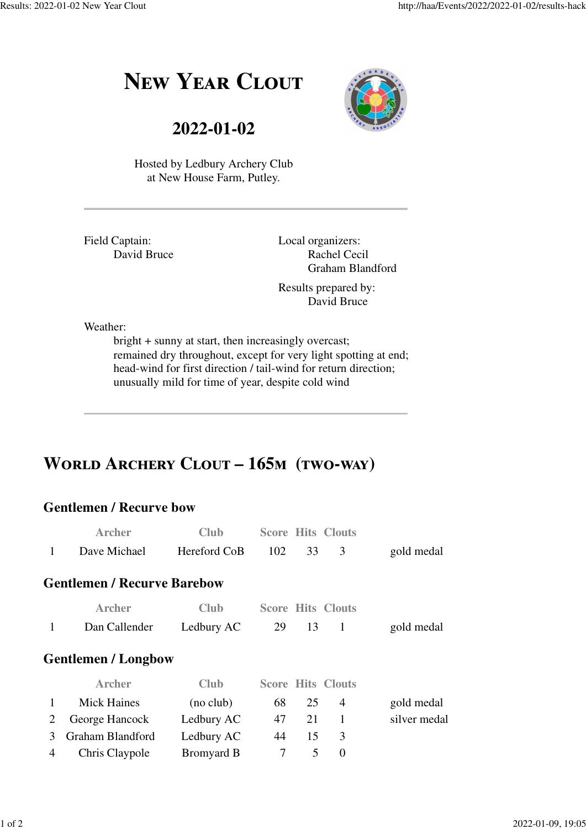# **NEW YEAR CLOUT**



**2022-01-02**

Hosted by Ledbury Archery Club at New House Farm, Putley.

Field Captain: David Bruce Local organizers: Rachel Cecil Graham Blandford

Results prepared by: David Bruce

Weather:

bright + sunny at start, then increasingly overcast; remained dry throughout, except for very light spotting at end; head-wind for first direction / tail-wind for return direction; unusually mild for time of year, despite cold wind

## WORLD ARCHERY CLOUT - 165M (TWO-WAY)

#### **Gentlemen / Recurve bow**

|   | <b>Archer</b>                      | <b>Club</b>       |     |    | <b>Score Hits Clouts</b> |              |
|---|------------------------------------|-------------------|-----|----|--------------------------|--------------|
| 1 | Dave Michael                       | Hereford CoB      | 102 | 33 | 3                        | gold medal   |
|   | <b>Gentlemen / Recurve Barebow</b> |                   |     |    |                          |              |
|   | <b>Archer</b>                      | Club              |     |    | <b>Score Hits Clouts</b> |              |
| 1 | Dan Callender                      | Ledbury AC        | 29  | 13 | 1                        | gold medal   |
|   | <b>Gentlemen / Longbow</b>         |                   |     |    |                          |              |
|   | <b>Archer</b>                      | Club              |     |    | <b>Score Hits Clouts</b> |              |
|   | <b>Mick Haines</b>                 | (no club)         | 68  | 25 | 4                        | gold medal   |
| 2 | George Hancock                     | Ledbury AC        | 47  | 21 | 1                        | silver medal |
| 3 | Graham Blandford                   | Ledbury AC        | 44  | 15 | 3                        |              |
| 4 | Chris Claypole                     | <b>Bromyard B</b> | 7   | 5  | $\overline{0}$           |              |